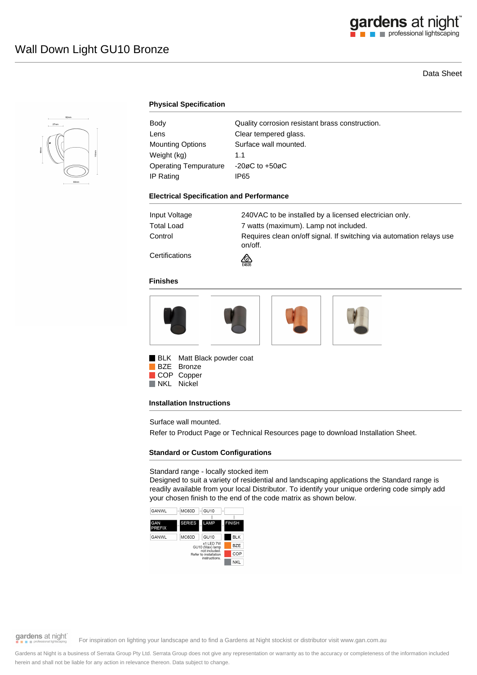## Data Sheet



## **Physical Specification**

| Body                    | Quality corrosion resistant brass construction. |
|-------------------------|-------------------------------------------------|
| Lens                    | Clear tempered glass.                           |
| <b>Mounting Options</b> | Surface wall mounted.                           |
| Weight (kg)             | 11                                              |
| Operating Tempurature   | $-20\varnothing$ C to $+50\varnothing$ C        |
| IP Rating               | IP65                                            |

#### **Electrical Specification and Performance**

| Input Voltage | 240VAC to be installed by a licensed electrician only.                          |
|---------------|---------------------------------------------------------------------------------|
| Total Load    | 7 watts (maximum). Lamp not included.                                           |
| Control       | Requires clean on/off signal. If switching via automation relays use<br>on/off. |
|               |                                                                                 |

**Certifications** 

### **Finishes**



₾

**BLK** Matt Black powder coat BZE Bronze

COP Copper

NKL Nickel

### **Installation Instructions**

Surface wall mounted.

Refer to Product Page or Technical Resources page to download Installation Sheet.

## **Standard or Custom Configurations**

Standard range - locally stocked item

Designed to suit a variety of residential and landscaping applications the Standard range is readily available from your local Distributor. To identify your unique ordering code simply add your chosen finish to the end of the code matrix as shown below.



gardens at night

For inspiration on lighting your landscape and to find a Gardens at Night stockist or distributor visit www.gan.com.au

Gardens at Night is a business of Serrata Group Pty Ltd. Serrata Group does not give any representation or warranty as to the accuracy or completeness of the information included herein and shall not be liable for any action in relevance thereon. Data subject to change.